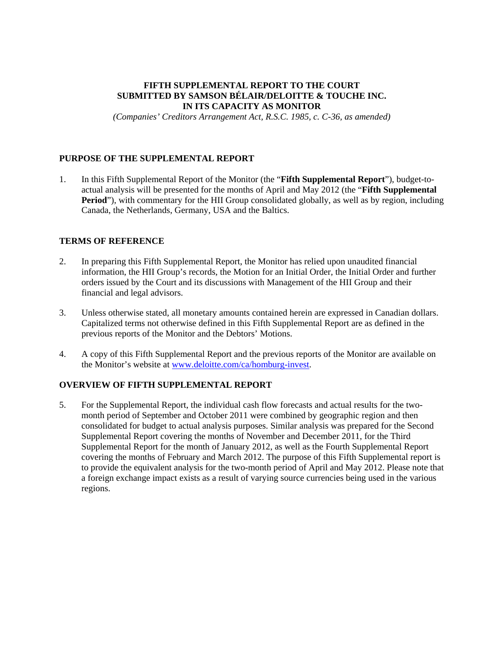# **FIFTH SUPPLEMENTAL REPORT TO THE COURT SUBMITTED BY SAMSON BÉLAIR/DELOITTE & TOUCHE INC. IN ITS CAPACITY AS MONITOR**

*(Companies' Creditors Arrangement Act, R.S.C. 1985, c. C-36, as amended)* 

# **PURPOSE OF THE SUPPLEMENTAL REPORT**

1. In this Fifth Supplemental Report of the Monitor (the "**Fifth Supplemental Report**"), budget-toactual analysis will be presented for the months of April and May 2012 (the "**Fifth Supplemental Period**"), with commentary for the HII Group consolidated globally, as well as by region, including Canada, the Netherlands, Germany, USA and the Baltics.

# **TERMS OF REFERENCE**

- 2. In preparing this Fifth Supplemental Report, the Monitor has relied upon unaudited financial information, the HII Group's records, the Motion for an Initial Order, the Initial Order and further orders issued by the Court and its discussions with Management of the HII Group and their financial and legal advisors.
- 3. Unless otherwise stated, all monetary amounts contained herein are expressed in Canadian dollars. Capitalized terms not otherwise defined in this Fifth Supplemental Report are as defined in the previous reports of the Monitor and the Debtors' Motions.
- 4. A copy of this Fifth Supplemental Report and the previous reports of the Monitor are available on the Monitor's website at www.deloitte.com/ca/homburg-invest.

# **OVERVIEW OF FIFTH SUPPLEMENTAL REPORT**

5. For the Supplemental Report, the individual cash flow forecasts and actual results for the twomonth period of September and October 2011 were combined by geographic region and then consolidated for budget to actual analysis purposes. Similar analysis was prepared for the Second Supplemental Report covering the months of November and December 2011, for the Third Supplemental Report for the month of January 2012, as well as the Fourth Supplemental Report covering the months of February and March 2012. The purpose of this Fifth Supplemental report is to provide the equivalent analysis for the two-month period of April and May 2012. Please note that a foreign exchange impact exists as a result of varying source currencies being used in the various regions.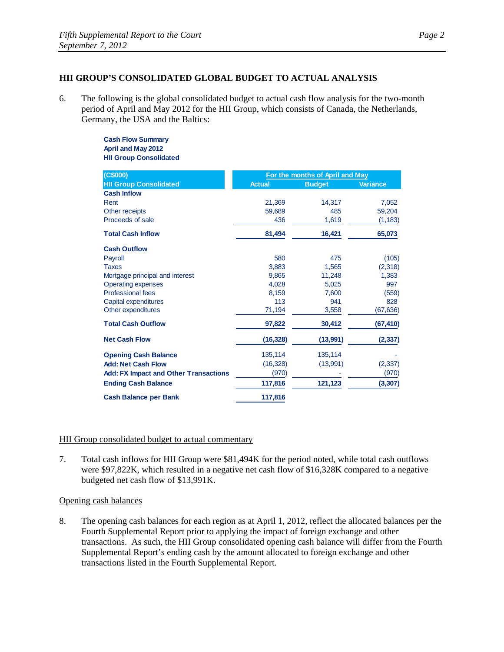## **HII GROUP'S CONSOLIDATED GLOBAL BUDGET TO ACTUAL ANALYSIS**

6. The following is the global consolidated budget to actual cash flow analysis for the two-month period of April and May 2012 for the HII Group, which consists of Canada, the Netherlands, Germany, the USA and the Baltics:

> **Cash Flow Summary April and May 2012 HII Group Consolidated**

| (C\$000)                                     | For the months of April and May |               |                 |
|----------------------------------------------|---------------------------------|---------------|-----------------|
| <b>HII Group Consolidated</b>                | <b>Actual</b>                   | <b>Budget</b> | <b>Variance</b> |
| <b>Cash Inflow</b>                           |                                 |               |                 |
| Rent                                         | 21,369                          | 14,317        | 7,052           |
| Other receipts                               | 59,689                          | 485           | 59,204          |
| Proceeds of sale                             | 436                             | 1,619         | (1, 183)        |
| <b>Total Cash Inflow</b>                     | 81,494                          | 16,421        | 65,073          |
| <b>Cash Outflow</b>                          |                                 |               |                 |
| Payroll                                      | 580                             | 475           | (105)           |
| <b>Taxes</b>                                 | 3,883                           | 1,565         | (2,318)         |
| Mortgage principal and interest              | 9,865                           | 11,248        | 1,383           |
| <b>Operating expenses</b>                    | 4,028                           | 5,025         | 997             |
| <b>Professional fees</b>                     | 8.159                           | 7,600         | (559)           |
| Capital expenditures                         | 113                             | 941           | 828             |
| Other expenditures                           | 71,194                          | 3,558         | (67, 636)       |
| <b>Total Cash Outflow</b>                    | 97,822                          | 30,412        | (67, 410)       |
| <b>Net Cash Flow</b>                         | (16, 328)                       | (13,991)      | (2, 337)        |
| <b>Opening Cash Balance</b>                  | 135,114                         | 135,114       |                 |
| <b>Add: Net Cash Flow</b>                    | (16, 328)                       | (13,991)      | (2, 337)        |
| <b>Add: FX Impact and Other Transactions</b> | (970)                           |               | (970)           |
| <b>Ending Cash Balance</b>                   | 117,816                         | 121,123       | (3, 307)        |
| <b>Cash Balance per Bank</b>                 | 117,816                         |               |                 |

# HII Group consolidated budget to actual commentary

7. Total cash inflows for HII Group were \$81,494K for the period noted, while total cash outflows were \$97,822K, which resulted in a negative net cash flow of \$16,328K compared to a negative budgeted net cash flow of \$13,991K.

# Opening cash balances

8. The opening cash balances for each region as at April 1, 2012, reflect the allocated balances per the Fourth Supplemental Report prior to applying the impact of foreign exchange and other transactions. As such, the HII Group consolidated opening cash balance will differ from the Fourth Supplemental Report's ending cash by the amount allocated to foreign exchange and other transactions listed in the Fourth Supplemental Report.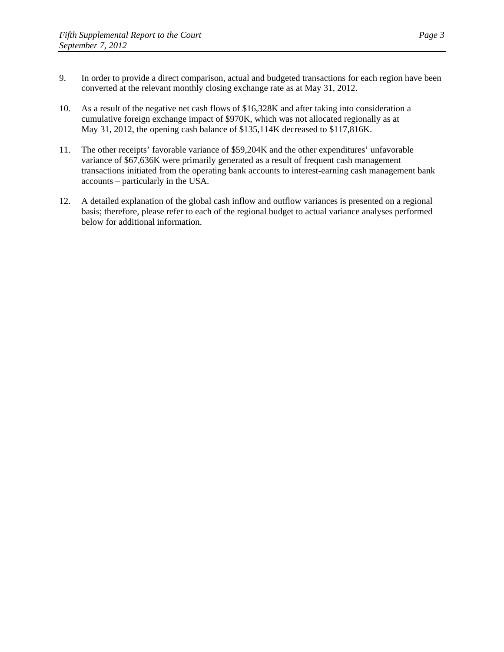- 9. In order to provide a direct comparison, actual and budgeted transactions for each region have been converted at the relevant monthly closing exchange rate as at May 31, 2012.
- 10. As a result of the negative net cash flows of \$16,328K and after taking into consideration a cumulative foreign exchange impact of \$970K, which was not allocated regionally as at May 31, 2012, the opening cash balance of \$135,114K decreased to \$117,816K.
- 11. The other receipts' favorable variance of \$59,204K and the other expenditures' unfavorable variance of \$67,636K were primarily generated as a result of frequent cash management transactions initiated from the operating bank accounts to interest-earning cash management bank accounts – particularly in the USA.
- 12. A detailed explanation of the global cash inflow and outflow variances is presented on a regional basis; therefore, please refer to each of the regional budget to actual variance analyses performed below for additional information.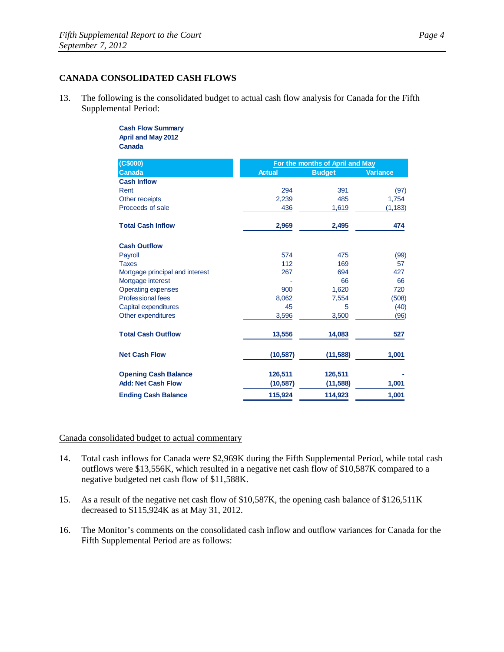## **CANADA CONSOLIDATED CASH FLOWS**

13. The following is the consolidated budget to actual cash flow analysis for Canada for the Fifth Supplemental Period:

#### **Cash Flow Summary April and May 2012 Canada**

| (C\$000)                        |               | For the months of April and May |                 |  |
|---------------------------------|---------------|---------------------------------|-----------------|--|
| <b>Canada</b>                   | <b>Actual</b> | <b>Budget</b>                   | <b>Variance</b> |  |
| <b>Cash Inflow</b>              |               |                                 |                 |  |
| Rent                            | 294           | 391                             | (97)            |  |
| Other receipts                  | 2,239         | 485                             | 1,754           |  |
| Proceeds of sale                | 436           | 1,619                           | (1, 183)        |  |
| <b>Total Cash Inflow</b>        | 2,969         | 2,495                           | 474             |  |
| <b>Cash Outflow</b>             |               |                                 |                 |  |
| Payroll                         | 574           | 475                             | (99)            |  |
| <b>Taxes</b>                    | 112           | 169                             | 57              |  |
| Mortgage principal and interest | 267           | 694                             | 427             |  |
| Mortgage interest               |               | 66                              | 66              |  |
| <b>Operating expenses</b>       | 900           | 1,620                           | 720             |  |
| <b>Professional fees</b>        | 8,062         | 7,554                           | (508)           |  |
| Capital expenditures            | 45            | 5                               | (40)            |  |
| Other expenditures              | 3,596         | 3,500                           | (96)            |  |
| <b>Total Cash Outflow</b>       | 13,556        | 14,083                          | 527             |  |
| <b>Net Cash Flow</b>            | (10, 587)     | (11, 588)                       | 1,001           |  |
| <b>Opening Cash Balance</b>     | 126,511       | 126,511                         |                 |  |
| <b>Add: Net Cash Flow</b>       | (10, 587)     | (11, 588)                       | 1,001           |  |
| <b>Ending Cash Balance</b>      | 115,924       | 114,923                         | 1,001           |  |

Canada consolidated budget to actual commentary

- 14. Total cash inflows for Canada were \$2,969K during the Fifth Supplemental Period, while total cash outflows were \$13,556K, which resulted in a negative net cash flow of \$10,587K compared to a negative budgeted net cash flow of \$11,588K.
- 15. As a result of the negative net cash flow of \$10,587K, the opening cash balance of \$126,511K decreased to \$115,924K as at May 31, 2012.
- 16. The Monitor's comments on the consolidated cash inflow and outflow variances for Canada for the Fifth Supplemental Period are as follows: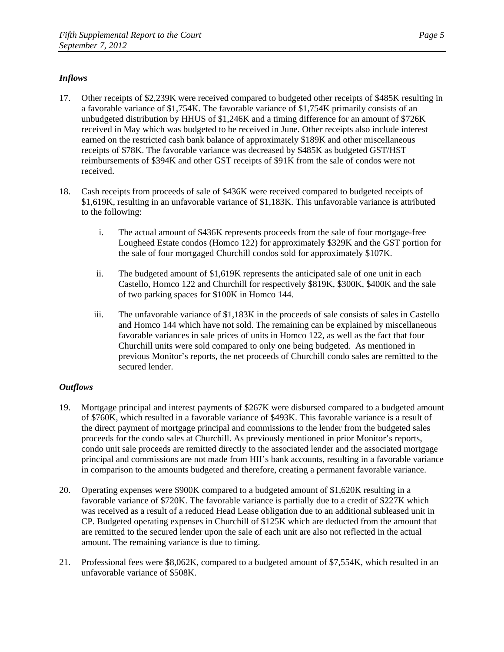# *Inflows*

- 17. Other receipts of \$2,239K were received compared to budgeted other receipts of \$485K resulting in a favorable variance of \$1,754K. The favorable variance of \$1,754K primarily consists of an unbudgeted distribution by HHUS of \$1,246K and a timing difference for an amount of \$726K received in May which was budgeted to be received in June. Other receipts also include interest earned on the restricted cash bank balance of approximately \$189K and other miscellaneous receipts of \$78K. The favorable variance was decreased by \$485K as budgeted GST/HST reimbursements of \$394K and other GST receipts of \$91K from the sale of condos were not received.
- 18. Cash receipts from proceeds of sale of \$436K were received compared to budgeted receipts of \$1,619K, resulting in an unfavorable variance of \$1,183K. This unfavorable variance is attributed to the following:
	- i. The actual amount of \$436K represents proceeds from the sale of four mortgage-free Lougheed Estate condos (Homco 122) for approximately \$329K and the GST portion for the sale of four mortgaged Churchill condos sold for approximately \$107K.
	- ii. The budgeted amount of \$1,619K represents the anticipated sale of one unit in each Castello, Homco 122 and Churchill for respectively \$819K, \$300K, \$400K and the sale of two parking spaces for \$100K in Homco 144.
	- iii. The unfavorable variance of \$1,183K in the proceeds of sale consists of sales in Castello and Homco 144 which have not sold. The remaining can be explained by miscellaneous favorable variances in sale prices of units in Homco 122, as well as the fact that four Churchill units were sold compared to only one being budgeted. As mentioned in previous Monitor's reports, the net proceeds of Churchill condo sales are remitted to the secured lender.

- 19. Mortgage principal and interest payments of \$267K were disbursed compared to a budgeted amount of \$760K, which resulted in a favorable variance of \$493K. This favorable variance is a result of the direct payment of mortgage principal and commissions to the lender from the budgeted sales proceeds for the condo sales at Churchill. As previously mentioned in prior Monitor's reports, condo unit sale proceeds are remitted directly to the associated lender and the associated mortgage principal and commissions are not made from HII's bank accounts, resulting in a favorable variance in comparison to the amounts budgeted and therefore, creating a permanent favorable variance.
- 20. Operating expenses were \$900K compared to a budgeted amount of \$1,620K resulting in a favorable variance of \$720K. The favorable variance is partially due to a credit of \$227K which was received as a result of a reduced Head Lease obligation due to an additional subleased unit in CP. Budgeted operating expenses in Churchill of \$125K which are deducted from the amount that are remitted to the secured lender upon the sale of each unit are also not reflected in the actual amount. The remaining variance is due to timing.
- 21. Professional fees were \$8,062K, compared to a budgeted amount of \$7,554K, which resulted in an unfavorable variance of \$508K.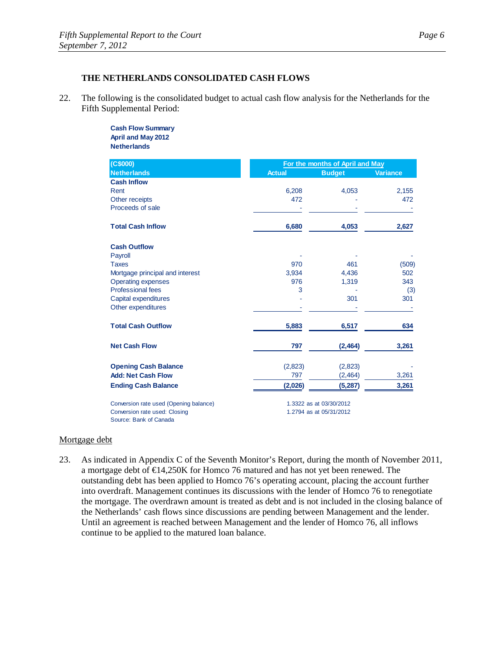22. The following is the consolidated budget to actual cash flow analysis for the Netherlands for the Fifth Supplemental Period:

#### **Cash Flow Summary April and May 2012 Netherlands**

| (C\$000)                               | For the months of April and May |                         |                 |  |
|----------------------------------------|---------------------------------|-------------------------|-----------------|--|
| <b>Netherlands</b>                     | <b>Actual</b>                   | <b>Budget</b>           | <b>Variance</b> |  |
| <b>Cash Inflow</b>                     |                                 |                         |                 |  |
| Rent                                   | 6,208                           | 4,053                   | 2,155           |  |
| Other receipts                         | 472                             |                         | 472             |  |
| Proceeds of sale                       |                                 |                         |                 |  |
| <b>Total Cash Inflow</b>               | 6,680                           | 4,053                   | 2,627           |  |
| <b>Cash Outflow</b>                    |                                 |                         |                 |  |
| Payroll                                |                                 |                         |                 |  |
| <b>Taxes</b>                           | 970                             | 461                     | (509)           |  |
| Mortgage principal and interest        | 3.934                           | 4,436                   | 502             |  |
| <b>Operating expenses</b>              | 976                             | 1,319                   | 343             |  |
| <b>Professional fees</b>               | 3                               |                         | (3)             |  |
| Capital expenditures                   |                                 | 301                     | 301             |  |
| Other expenditures                     |                                 |                         |                 |  |
| <b>Total Cash Outflow</b>              | 5,883                           | 6,517                   | 634             |  |
| <b>Net Cash Flow</b>                   | 797                             | (2, 464)                | 3,261           |  |
| <b>Opening Cash Balance</b>            | (2,823)                         | (2,823)                 |                 |  |
| <b>Add: Net Cash Flow</b>              | 797                             | (2,464)                 | 3,261           |  |
| <b>Ending Cash Balance</b>             | (2,026)                         | (5, 287)                | 3,261           |  |
| Conversion rate used (Opening balance) |                                 | 1.3322 as at 03/30/2012 |                 |  |
| Conversion rate used: Closing          |                                 | 1.2794 as at 05/31/2012 |                 |  |
| Source: Bank of Canada                 |                                 |                         |                 |  |

### Mortgage debt

23. As indicated in Appendix C of the Seventh Monitor's Report, during the month of November 2011, a mortgage debt of €14,250K for Homco 76 matured and has not yet been renewed. The outstanding debt has been applied to Homco 76's operating account, placing the account further into overdraft. Management continues its discussions with the lender of Homco 76 to renegotiate the mortgage. The overdrawn amount is treated as debt and is not included in the closing balance of the Netherlands' cash flows since discussions are pending between Management and the lender. Until an agreement is reached between Management and the lender of Homco 76, all inflows continue to be applied to the matured loan balance.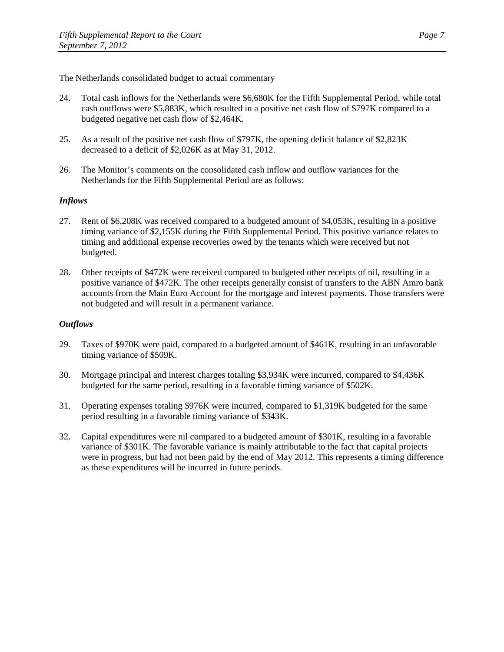### The Netherlands consolidated budget to actual commentary

- 24. Total cash inflows for the Netherlands were \$6,680K for the Fifth Supplemental Period, while total cash outflows were \$5,883K, which resulted in a positive net cash flow of \$797K compared to a budgeted negative net cash flow of \$2,464K.
- 25. As a result of the positive net cash flow of \$797K, the opening deficit balance of \$2,823K decreased to a deficit of \$2,026K as at May 31, 2012.
- 26. The Monitor's comments on the consolidated cash inflow and outflow variances for the Netherlands for the Fifth Supplemental Period are as follows:

# *Inflows*

- 27. Rent of \$6,208K was received compared to a budgeted amount of \$4,053K, resulting in a positive timing variance of \$2,155K during the Fifth Supplemental Period. This positive variance relates to timing and additional expense recoveries owed by the tenants which were received but not budgeted.
- 28. Other receipts of \$472K were received compared to budgeted other receipts of nil, resulting in a positive variance of \$472K. The other receipts generally consist of transfers to the ABN Amro bank accounts from the Main Euro Account for the mortgage and interest payments. Those transfers were not budgeted and will result in a permanent variance.

- 29. Taxes of \$970K were paid, compared to a budgeted amount of \$461K, resulting in an unfavorable timing variance of \$509K.
- 30. Mortgage principal and interest charges totaling \$3,934K were incurred, compared to \$4,436K budgeted for the same period, resulting in a favorable timing variance of \$502K.
- 31. Operating expenses totaling \$976K were incurred, compared to \$1,319K budgeted for the same period resulting in a favorable timing variance of \$343K.
- 32. Capital expenditures were nil compared to a budgeted amount of \$301K, resulting in a favorable variance of \$301K. The favorable variance is mainly attributable to the fact that capital projects were in progress, but had not been paid by the end of May 2012. This represents a timing difference as these expenditures will be incurred in future periods.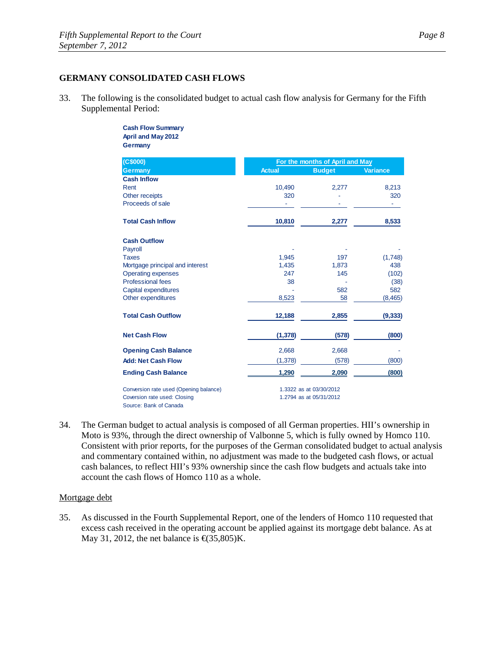### **GERMANY CONSOLIDATED CASH FLOWS**

33. The following is the consolidated budget to actual cash flow analysis for Germany for the Fifth Supplemental Period:

#### **Cash Flow Summary April and May 2012 Germany**

| (C\$000)                                               | For the months of April and May |                         |                 |
|--------------------------------------------------------|---------------------------------|-------------------------|-----------------|
| <b>Germany</b>                                         | <b>Actual</b>                   | <b>Budget</b>           | <b>Variance</b> |
| <b>Cash Inflow</b>                                     |                                 |                         |                 |
| Rent                                                   | 10,490                          | 2,277                   | 8,213           |
| Other receipts                                         | 320                             |                         | 320             |
| Proceeds of sale                                       |                                 |                         |                 |
| <b>Total Cash Inflow</b>                               | 10,810                          | 2,277                   | 8,533           |
| <b>Cash Outflow</b>                                    |                                 |                         |                 |
| Payroll                                                |                                 |                         |                 |
| <b>Taxes</b>                                           | 1,945                           | 197                     | (1,748)         |
| Mortgage principal and interest                        | 1,435                           | 1,873                   | 438             |
| <b>Operating expenses</b>                              | 247                             | 145                     | (102)           |
| <b>Professional fees</b>                               | 38                              |                         | (38)            |
| Capital expenditures                                   |                                 | 582                     | 582             |
| Other expenditures                                     | 8,523                           | 58                      | (8, 465)        |
| <b>Total Cash Outflow</b>                              | 12,188                          | 2,855                   | (9, 333)        |
| <b>Net Cash Flow</b>                                   | (1, 378)                        | (578)                   | (800)           |
| <b>Opening Cash Balance</b>                            | 2,668                           | 2,668                   |                 |
| <b>Add: Net Cash Flow</b>                              | (1, 378)                        | (578)                   | (800)           |
| <b>Ending Cash Balance</b>                             | 1,290                           | 2,090                   | (800)           |
| Conversion rate used (Opening balance)                 |                                 | 1.3322 as at 03/30/2012 |                 |
| Coversion rate used: Closing<br>Source: Bank of Canada |                                 | 1.2794 as at 05/31/2012 |                 |

34. The German budget to actual analysis is composed of all German properties. HII's ownership in Moto is 93%, through the direct ownership of Valbonne 5, which is fully owned by Homco 110. Consistent with prior reports, for the purposes of the German consolidated budget to actual analysis and commentary contained within, no adjustment was made to the budgeted cash flows, or actual cash balances, to reflect HII's 93% ownership since the cash flow budgets and actuals take into account the cash flows of Homco 110 as a whole.

### Mortgage debt

35. As discussed in the Fourth Supplemental Report, one of the lenders of Homco 110 requested that excess cash received in the operating account be applied against its mortgage debt balance. As at May 31, 2012, the net balance is  $\text{f}(35,805)$ K.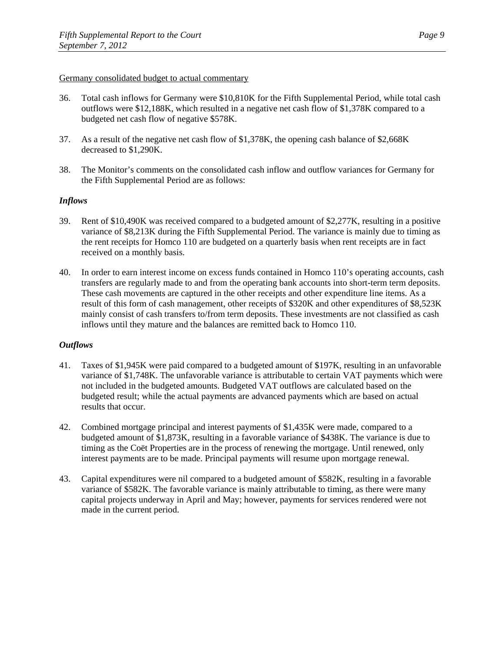### Germany consolidated budget to actual commentary

- 36. Total cash inflows for Germany were \$10,810K for the Fifth Supplemental Period, while total cash outflows were \$12,188K, which resulted in a negative net cash flow of \$1,378K compared to a budgeted net cash flow of negative \$578K.
- 37. As a result of the negative net cash flow of \$1,378K, the opening cash balance of \$2,668K decreased to \$1,290K.
- 38. The Monitor's comments on the consolidated cash inflow and outflow variances for Germany for the Fifth Supplemental Period are as follows:

# *Inflows*

- 39. Rent of \$10,490K was received compared to a budgeted amount of \$2,277K, resulting in a positive variance of \$8,213K during the Fifth Supplemental Period. The variance is mainly due to timing as the rent receipts for Homco 110 are budgeted on a quarterly basis when rent receipts are in fact received on a monthly basis.
- 40. In order to earn interest income on excess funds contained in Homco 110's operating accounts, cash transfers are regularly made to and from the operating bank accounts into short-term term deposits. These cash movements are captured in the other receipts and other expenditure line items. As a result of this form of cash management, other receipts of \$320K and other expenditures of \$8,523K mainly consist of cash transfers to/from term deposits. These investments are not classified as cash inflows until they mature and the balances are remitted back to Homco 110.

- 41. Taxes of \$1,945K were paid compared to a budgeted amount of \$197K, resulting in an unfavorable variance of \$1,748K. The unfavorable variance is attributable to certain VAT payments which were not included in the budgeted amounts. Budgeted VAT outflows are calculated based on the budgeted result; while the actual payments are advanced payments which are based on actual results that occur.
- 42. Combined mortgage principal and interest payments of \$1,435K were made, compared to a budgeted amount of \$1,873K, resulting in a favorable variance of \$438K. The variance is due to timing as the Coët Properties are in the process of renewing the mortgage. Until renewed, only interest payments are to be made. Principal payments will resume upon mortgage renewal.
- 43. Capital expenditures were nil compared to a budgeted amount of \$582K, resulting in a favorable variance of \$582K. The favorable variance is mainly attributable to timing, as there were many capital projects underway in April and May; however, payments for services rendered were not made in the current period.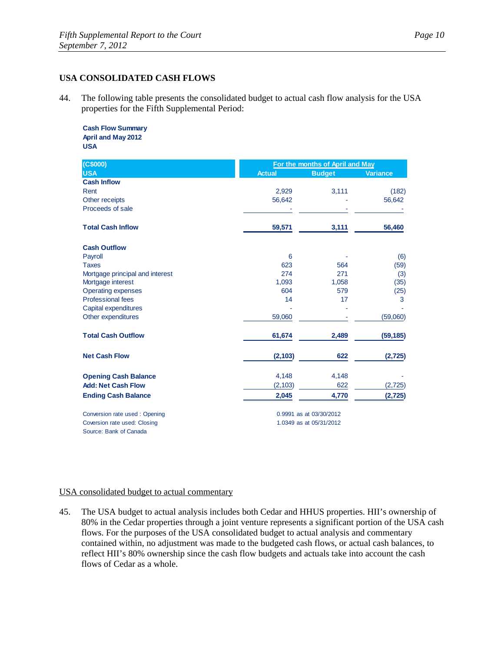### **USA CONSOLIDATED CASH FLOWS**

44. The following table presents the consolidated budget to actual cash flow analysis for the USA properties for the Fifth Supplemental Period:

#### **Cash Flow Summary April and May 2012 USA**

| (C\$000)                        |               | For the months of April and May |                 |  |
|---------------------------------|---------------|---------------------------------|-----------------|--|
| <b>USA</b>                      | <b>Actual</b> | <b>Budget</b>                   | <b>Variance</b> |  |
| <b>Cash Inflow</b>              |               |                                 |                 |  |
| Rent                            | 2,929         | 3,111                           | (182)           |  |
| Other receipts                  | 56,642        |                                 | 56,642          |  |
| Proceeds of sale                |               |                                 |                 |  |
| <b>Total Cash Inflow</b>        | 59,571        | 3,111                           | 56,460          |  |
| <b>Cash Outflow</b>             |               |                                 |                 |  |
| Payroll                         | 6             |                                 | (6)             |  |
| <b>Taxes</b>                    | 623           | 564                             | (59)            |  |
| Mortgage principal and interest | 274           | 271                             | (3)             |  |
| Mortgage interest               | 1,093         | 1,058                           | (35)            |  |
| <b>Operating expenses</b>       | 604           | 579                             | (25)            |  |
| <b>Professional fees</b>        | 14            | 17                              | 3               |  |
| Capital expenditures            |               |                                 |                 |  |
| Other expenditures              | 59,060        |                                 | (59,060)        |  |
| <b>Total Cash Outflow</b>       | 61,674        | 2,489                           | (59, 185)       |  |
| <b>Net Cash Flow</b>            | (2, 103)      | 622                             | (2, 725)        |  |
| <b>Opening Cash Balance</b>     | 4,148         | 4,148                           |                 |  |
| <b>Add: Net Cash Flow</b>       | (2, 103)      | 622                             | (2, 725)        |  |
| <b>Ending Cash Balance</b>      | 2,045         | 4,770                           | (2,725)         |  |
| Conversion rate used: Opening   |               | 0.9991 as at 03/30/2012         |                 |  |
| Coversion rate used: Closing    |               | 1.0349 as at 05/31/2012         |                 |  |
| Source: Bank of Canada          |               |                                 |                 |  |

# USA consolidated budget to actual commentary

45. The USA budget to actual analysis includes both Cedar and HHUS properties. HII's ownership of 80% in the Cedar properties through a joint venture represents a significant portion of the USA cash flows. For the purposes of the USA consolidated budget to actual analysis and commentary contained within, no adjustment was made to the budgeted cash flows, or actual cash balances, to reflect HII's 80% ownership since the cash flow budgets and actuals take into account the cash flows of Cedar as a whole.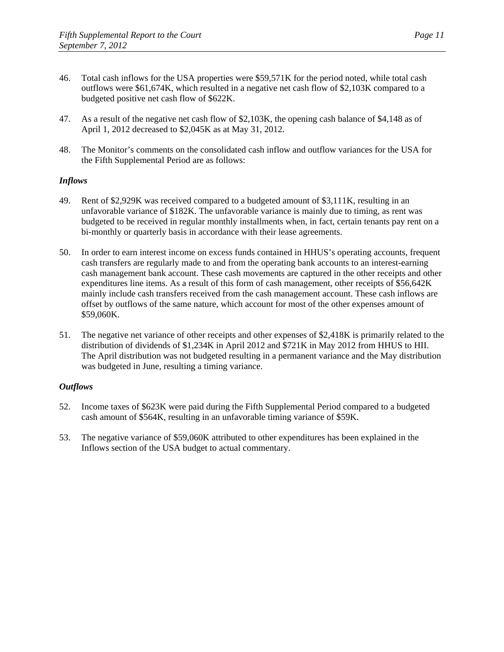- 46. Total cash inflows for the USA properties were \$59,571K for the period noted, while total cash outflows were \$61,674K, which resulted in a negative net cash flow of \$2,103K compared to a budgeted positive net cash flow of \$622K.
- 47. As a result of the negative net cash flow of \$2,103K, the opening cash balance of \$4,148 as of April 1, 2012 decreased to \$2,045K as at May 31, 2012.
- 48. The Monitor's comments on the consolidated cash inflow and outflow variances for the USA for the Fifth Supplemental Period are as follows:

# *Inflows*

- 49. Rent of \$2,929K was received compared to a budgeted amount of \$3,111K, resulting in an unfavorable variance of \$182K. The unfavorable variance is mainly due to timing, as rent was budgeted to be received in regular monthly installments when, in fact, certain tenants pay rent on a bi-monthly or quarterly basis in accordance with their lease agreements.
- 50. In order to earn interest income on excess funds contained in HHUS's operating accounts, frequent cash transfers are regularly made to and from the operating bank accounts to an interest-earning cash management bank account. These cash movements are captured in the other receipts and other expenditures line items. As a result of this form of cash management, other receipts of \$56,642K mainly include cash transfers received from the cash management account. These cash inflows are offset by outflows of the same nature, which account for most of the other expenses amount of \$59,060K.
- 51. The negative net variance of other receipts and other expenses of \$2,418K is primarily related to the distribution of dividends of \$1,234K in April 2012 and \$721K in May 2012 from HHUS to HII. The April distribution was not budgeted resulting in a permanent variance and the May distribution was budgeted in June, resulting a timing variance.

- 52. Income taxes of \$623K were paid during the Fifth Supplemental Period compared to a budgeted cash amount of \$564K, resulting in an unfavorable timing variance of \$59K.
- 53. The negative variance of \$59,060K attributed to other expenditures has been explained in the Inflows section of the USA budget to actual commentary.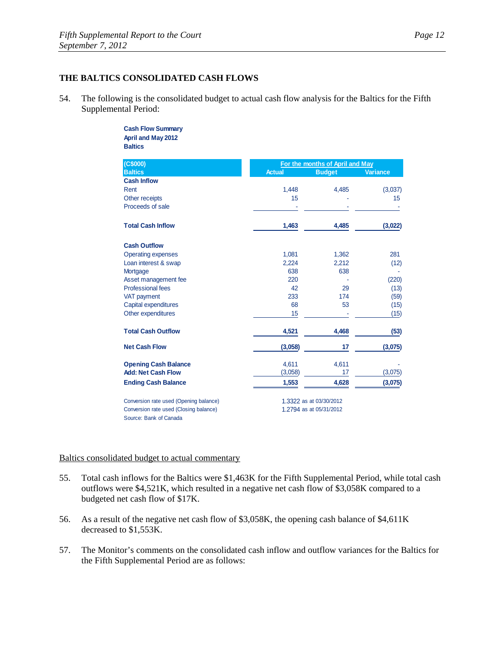### **THE BALTICS CONSOLIDATED CASH FLOWS**

54. The following is the consolidated budget to actual cash flow analysis for the Baltics for the Fifth Supplemental Period:

#### **Cash Flow Summary April and May 2012 Baltics**

| (C\$000)                                                         | For the months of April and May |                         |                 |
|------------------------------------------------------------------|---------------------------------|-------------------------|-----------------|
| <b>Baltics</b>                                                   | <b>Actual</b>                   | <b>Budget</b>           | <b>Variance</b> |
| <b>Cash Inflow</b>                                               |                                 |                         |                 |
| Rent                                                             | 1,448                           | 4,485                   | (3,037)         |
| Other receipts                                                   | 15                              |                         | 15              |
| Proceeds of sale                                                 |                                 |                         |                 |
| <b>Total Cash Inflow</b>                                         | 1,463                           | 4,485                   | (3,022)         |
| <b>Cash Outflow</b>                                              |                                 |                         |                 |
| <b>Operating expenses</b>                                        | 1,081                           | 1,362                   | 281             |
| Loan interest & swap                                             | 2,224                           | 2,212                   | (12)            |
| Mortgage                                                         | 638                             | 638                     |                 |
| Asset management fee                                             | 220                             |                         | (220)           |
| <b>Professional fees</b>                                         | 42                              | 29                      | (13)            |
| VAT payment                                                      | 233                             | 174                     | (59)            |
| Capital expenditures                                             | 68                              | 53                      | (15)            |
| Other expenditures                                               | 15                              |                         | (15)            |
| <b>Total Cash Outflow</b>                                        | 4,521                           | 4,468                   | (53)            |
| <b>Net Cash Flow</b>                                             | (3,058)                         | 17                      | (3,075)         |
| <b>Opening Cash Balance</b>                                      | 4,611                           | 4,611                   |                 |
| <b>Add: Net Cash Flow</b>                                        | (3,058)                         | 17                      | (3,075)         |
| <b>Ending Cash Balance</b>                                       | 1,553                           | 4,628                   | (3,075)         |
| Conversion rate used (Opening balance)                           |                                 | 1.3322 as at 03/30/2012 |                 |
| Conversion rate used (Closing balance)<br>Source: Bank of Canada |                                 | 1.2794 as at 05/31/2012 |                 |

# Baltics consolidated budget to actual commentary

- 55. Total cash inflows for the Baltics were \$1,463K for the Fifth Supplemental Period, while total cash outflows were \$4,521K, which resulted in a negative net cash flow of \$3,058K compared to a budgeted net cash flow of \$17K.
- 56. As a result of the negative net cash flow of \$3,058K, the opening cash balance of \$4,611K decreased to \$1,553K.
- 57. The Monitor's comments on the consolidated cash inflow and outflow variances for the Baltics for the Fifth Supplemental Period are as follows: